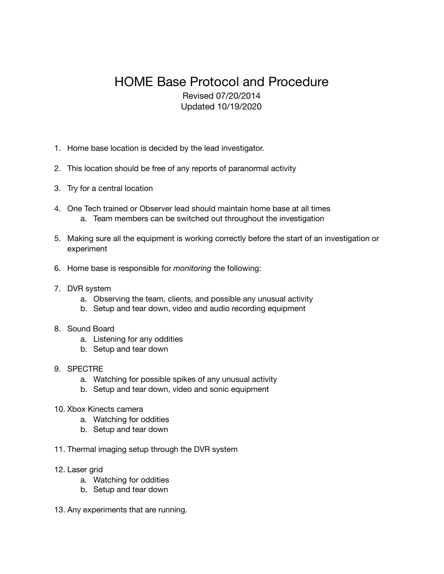## HOME Base Protocol and Procedure Revised 07/20/2014 Updated 10/19/2020

- 1. Home base location is decided by the lead investigator.
- 2. This location should be free of any reports of paranormal activity
- 3. Try for a central location
- 4. One Tech trained or Observer lead should maintain home base at all times a. Team members can be switched out throughout the investigation
- 5. Making sure all the equipment is working correctly before the start of an investigation or experiment
- 6. Home base is responsible for *monitoring* the following:
- 7. DVR system
	- a. Observing the team, clients, and possible any unusual activity
	- b. Setup and tear down, video and audio recording equipment

## 8. Sound Board

- a. Listening for any oddities
- b. Setup and tear down
- 9. SPECTRE
	- a. Watching for possible spikes of any unusual activity
	- b. Setup and tear down, video and sonic equipment
- 10. Xbox Kinects camera
	- a. Watching for oddities
	- b. Setup and tear down
- 11. Thermal imaging setup through the DVR system
- 12. Laser grid
	- a. Watching for oddities
	- b. Setup and tear down
- 13. Any experiments that are running.